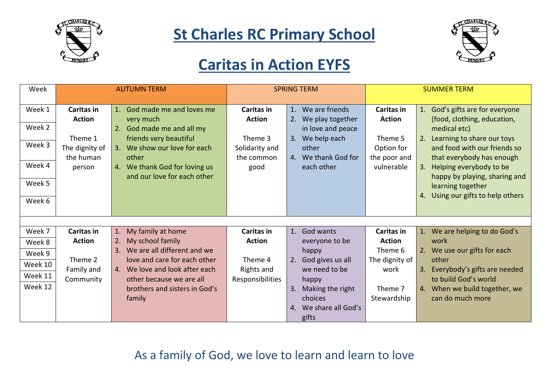



### **Caritas in Action EYFS**

| Week    | <b>AUTUMN TERM</b>          |                                                              | <b>SPRING TERM</b>          |                                          | <b>SUMMER TERM</b>                 |                                                                |
|---------|-----------------------------|--------------------------------------------------------------|-----------------------------|------------------------------------------|------------------------------------|----------------------------------------------------------------|
| Week 1  | Caritas in<br><b>Action</b> | 1. God made me and loves me<br>very much                     | Caritas in<br><b>Action</b> | 1. We are friends<br>2. We play together | <b>Caritas in</b><br><b>Action</b> | 1. God's gifts are for everyone<br>(food, clothing, education, |
| Week 2  |                             | God made me and all my<br>2.                                 |                             | in love and peace                        |                                    | medical etc)                                                   |
|         | Theme 1                     | friends very beautiful                                       | Theme 3                     | 3. We help each                          | Theme 5                            | 2. Learning to share our toys                                  |
| Week 3  | The dignity of              | We show our love for each<br>3.                              | Solidarity and              | other                                    | Option for                         | and food with our friends so                                   |
| Week 4  | the human                   | other                                                        | the common                  | 4. We thank God for                      | the poor and                       | that everybody has enough                                      |
|         | person                      | 4. We thank God for loving us<br>and our love for each other | good                        | each other                               | vulnerable                         | 3. Helping everybody to be                                     |
| Week 5  |                             |                                                              |                             |                                          |                                    | happy by playing, sharing and<br>learning together             |
|         |                             |                                                              |                             |                                          |                                    | 4. Using our gifts to help others                              |
| Week 6  |                             |                                                              |                             |                                          |                                    |                                                                |
|         |                             |                                                              |                             |                                          |                                    |                                                                |
| Week 7  | Caritas in                  | 1. My family at home                                         | Caritas in                  | 1. God wants                             | <b>Caritas in</b>                  | 1. We are helping to do God's                                  |
| Week 8  | <b>Action</b>               | My school family<br>2.                                       | <b>Action</b>               | everyone to be                           | <b>Action</b>                      | work                                                           |
| Week 9  |                             | We are all different and we<br>3.                            |                             | happy                                    | Theme 6                            | 2. We use our gifts for each                                   |
|         | Theme 2                     | love and care for each other                                 | Theme 4                     | 2. God gives us all                      | The dignity of                     | other                                                          |
| Week 10 | Family and                  | 4. We love and look after each                               | Rights and                  | we need to be                            | work                               | 3. Everybody's gifts are needed                                |
| Week 11 | Community                   | other because we are all                                     | Responsibilities            | happy                                    |                                    | to build God's world                                           |
| Week 12 |                             | brothers and sisters in God's                                |                             | 3. Making the right                      | Theme 7                            | 4. When we build together, we                                  |
|         |                             | family                                                       |                             | choices                                  | Stewardship                        | can do much more                                               |
|         |                             |                                                              |                             | 4. We share all God's                    |                                    |                                                                |
|         |                             |                                                              |                             | gifts                                    |                                    |                                                                |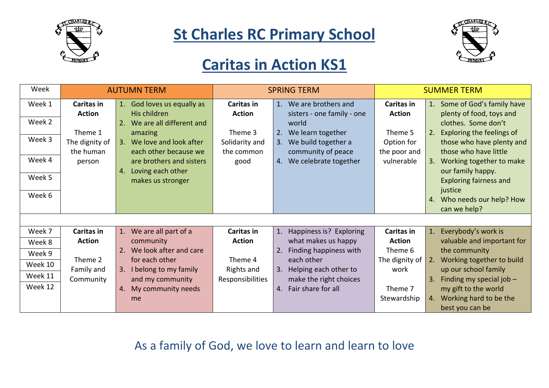



#### **Caritas in Action KS1**

| Week    | <b>AUTUMN TERM</b> |                                | <b>SPRING TERM</b> |                              | <b>SUMMER TERM</b> |                                  |
|---------|--------------------|--------------------------------|--------------------|------------------------------|--------------------|----------------------------------|
| Week 1  | <b>Caritas in</b>  | 1. God loves us equally as     | Caritas in         | 1. We are brothers and       | <b>Caritas in</b>  | 1. Some of God's family have     |
|         | <b>Action</b>      | His children                   | <b>Action</b>      | sisters - one family - one   | <b>Action</b>      | plenty of food, toys and         |
| Week 2  |                    | We are all different and<br>2. |                    | world                        |                    | clothes. Some don't              |
|         | Theme 1            | amazing                        | Theme 3            | 2. We learn together         | Theme 5            | Exploring the feelings of<br>2.  |
| Week 3  | The dignity of     | 3. We love and look after      | Solidarity and     | We build together a<br>3.    | Option for         | those who have plenty and        |
|         | the human          | each other because we          | the common         | community of peace           | the poor and       | those who have little            |
| Week 4  | person             | are brothers and sisters       | good               | 4. We celebrate together     | vulnerable         | 3. Working together to make      |
|         |                    | Loving each other<br>4.        |                    |                              |                    | our family happy.                |
| Week 5  |                    | makes us stronger              |                    |                              |                    | <b>Exploring fairness and</b>    |
|         |                    |                                |                    |                              |                    | justice                          |
| Week 6  |                    |                                |                    |                              |                    | 4. Who needs our help? How       |
|         |                    |                                |                    |                              |                    | can we help?                     |
|         |                    |                                |                    |                              |                    |                                  |
| Week 7  | Caritas in         | We are all part of a<br>1.     | Caritas in         | 1. Happiness is? Exploring   | Caritas in         | Everybody's work is<br>1.        |
| Week 8  | <b>Action</b>      | community                      | <b>Action</b>      | what makes us happy          | <b>Action</b>      | valuable and important for       |
| Week 9  |                    | We look after and care<br>2.   |                    | Finding happiness with<br>2. | Theme 6            | the community                    |
| Week 10 | Theme 2            | for each other                 | Theme 4            | each other                   | The dignity of     | Working together to build<br>2.  |
|         | Family and         | 3. I belong to my family       | Rights and         | 3. Helping each other to     | work               | up our school family             |
| Week 11 | Community          | and my community               | Responsibilities   | make the right choices       |                    | Finding my special job $-$<br>3. |
| Week 12 |                    | 4. My community needs          |                    | 4. Fair share for all        | Theme 7            | my gift to the world             |
|         |                    | me                             |                    |                              | Stewardship        | 4. Working hard to be the        |
|         |                    |                                |                    |                              |                    | best you can be                  |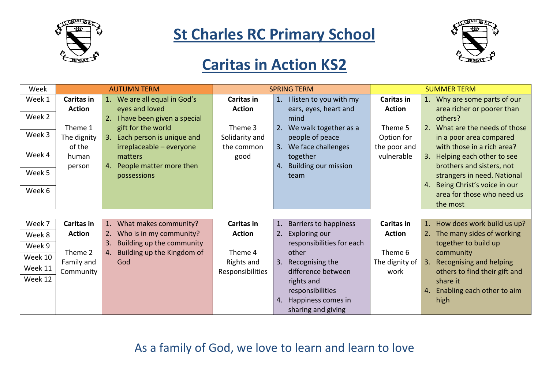



#### **Caritas in Action KS2**

| Week    | <b>AUTUMN TERM</b> |                                  | <b>SPRING TERM</b> |                            | <b>SUMMER TERM</b> |                                               |
|---------|--------------------|----------------------------------|--------------------|----------------------------|--------------------|-----------------------------------------------|
| Week 1  | Caritas in         | 1. We are all equal in God's     | Caritas in         | 1. I listen to you with my | Caritas in         | 1. Why are some parts of our                  |
|         | <b>Action</b>      | eyes and loved                   | <b>Action</b>      | ears, eyes, heart and      | <b>Action</b>      | area richer or poorer than                    |
| Week 2  |                    | 2. I have been given a special   |                    | mind                       |                    | others?                                       |
|         | Theme 1            | gift for the world               | Theme 3            | 2. We walk together as a   | Theme 5            | What are the needs of those                   |
| Week 3  | The dignity        | 3. Each person is unique and     | Solidarity and     | people of peace            | Option for         | in a poor area compared                       |
|         | of the             | irreplaceable - everyone         | the common         | 3. We face challenges      | the poor and       | with those in a rich area?                    |
| Week 4  | human              | matters                          | good               | together                   | vulnerable         | Helping each other to see<br>3.               |
|         | person             | 4. People matter more then       |                    | 4. Building our mission    |                    | brothers and sisters, not                     |
| Week 5  |                    | possessions                      |                    | team                       |                    | strangers in need. National                   |
|         |                    |                                  |                    |                            |                    | Being Christ's voice in our<br>$\mathbf{4}$ . |
| Week 6  |                    |                                  |                    |                            |                    | area for those who need us                    |
|         |                    |                                  |                    |                            |                    | the most                                      |
|         |                    |                                  |                    |                            |                    |                                               |
| Week 7  | Caritas in         | What makes community?<br>1.      | Caritas in         | 1. Barriers to happiness   | Caritas in         | 1. How does work build us up?                 |
| Week 8  | <b>Action</b>      | Who is in my community?<br>2.    | <b>Action</b>      | 2. Exploring our           | <b>Action</b>      | 2. The many sides of working                  |
| Week 9  |                    | Building up the community<br>3.  |                    | responsibilities for each  |                    | together to build up                          |
|         | Theme 2            | Building up the Kingdom of<br>4. | Theme 4            | other                      | Theme 6            | community                                     |
| Week 10 | Family and         | God                              | Rights and         | 3. Recognising the         | The dignity of     | <b>Recognising and helping</b><br>3.          |
| Week 11 | Community          |                                  | Responsibilities   | difference between         | work               | others to find their gift and                 |
| Week 12 |                    |                                  |                    | rights and                 |                    | share it                                      |
|         |                    |                                  |                    | responsibilities           |                    | Enabling each other to aim<br>4.              |
|         |                    |                                  |                    | 4. Happiness comes in      |                    | high                                          |
|         |                    |                                  |                    | sharing and giving         |                    |                                               |